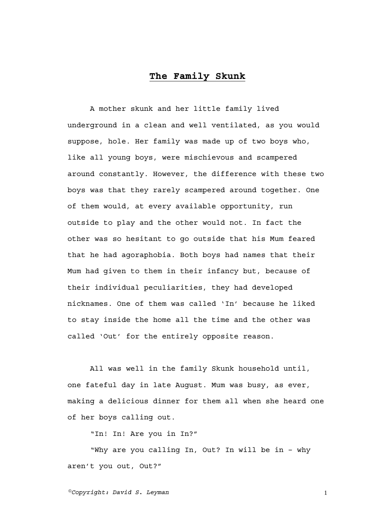## **The Family Skunk**

A mother skunk and her little family lived underground in a clean and well ventilated, as you would suppose, hole. Her family was made up of two boys who, like all young boys, were mischievous and scampered around constantly. However, the difference with these two boys was that they rarely scampered around together. One of them would, at every available opportunity, run outside to play and the other would not. In fact the other was so hesitant to go outside that his Mum feared that he had agoraphobia. Both boys had names that their Mum had given to them in their infancy but, because of their individual peculiarities, they had developed nicknames. One of them was called 'In' because he liked to stay inside the home all the time and the other was called 'Out' for the entirely opposite reason.

All was well in the family Skunk household until, one fateful day in late August. Mum was busy, as ever, making a delicious dinner for them all when she heard one of her boys calling out.

"In! In! Are you in In?"

"Why are you calling In, Out? In will be in – why aren't you out, Out?"